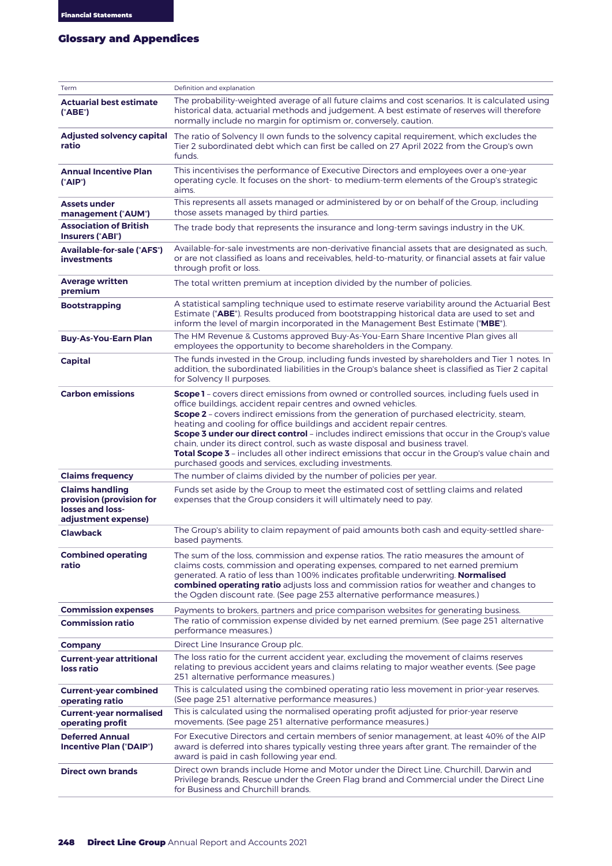## **GLOSSARY AND APPENDICES** Glossary and Appendices

| Term                                                                                          | Definition and explanation                                                                                                                                                                                                                                                                                                                                                                                                                                                                                                                                                                                                                                                                          |
|-----------------------------------------------------------------------------------------------|-----------------------------------------------------------------------------------------------------------------------------------------------------------------------------------------------------------------------------------------------------------------------------------------------------------------------------------------------------------------------------------------------------------------------------------------------------------------------------------------------------------------------------------------------------------------------------------------------------------------------------------------------------------------------------------------------------|
| <b>Actuarial best estimate</b><br>("ABE")                                                     | The probability-weighted average of all future claims and cost scenarios. It is calculated using<br>historical data, actuarial methods and judgement. A best estimate of reserves will therefore<br>normally include no margin for optimism or, conversely, caution.                                                                                                                                                                                                                                                                                                                                                                                                                                |
| ratio                                                                                         | Adjusted solvency capital The ratio of Solvency II own funds to the solvency capital requirement, which excludes the<br>Tier 2 subordinated debt which can first be called on 27 April 2022 from the Group's own<br>funds.                                                                                                                                                                                                                                                                                                                                                                                                                                                                          |
| <b>Annual Incentive Plan</b><br>("AIP")                                                       | This incentivises the performance of Executive Directors and employees over a one-year<br>operating cycle. It focuses on the short- to medium-term elements of the Group's strategic<br>aims.                                                                                                                                                                                                                                                                                                                                                                                                                                                                                                       |
| <b>Assets under</b><br>management ("AUM")                                                     | This represents all assets managed or administered by or on behalf of the Group, including<br>those assets managed by third parties.                                                                                                                                                                                                                                                                                                                                                                                                                                                                                                                                                                |
| <b>Association of British</b><br>Insurers ("ABI")                                             | The trade body that represents the insurance and long-term savings industry in the UK.                                                                                                                                                                                                                                                                                                                                                                                                                                                                                                                                                                                                              |
| <b>Available-for-sale ("AFS")</b><br><b>investments</b>                                       | Available-for-sale investments are non-derivative financial assets that are designated as such,<br>or are not classified as loans and receivables, held-to-maturity, or financial assets at fair value<br>through profit or loss.                                                                                                                                                                                                                                                                                                                                                                                                                                                                   |
| <b>Average written</b><br>premium                                                             | The total written premium at inception divided by the number of policies.                                                                                                                                                                                                                                                                                                                                                                                                                                                                                                                                                                                                                           |
| <b>Bootstrapping</b>                                                                          | A statistical sampling technique used to estimate reserve variability around the Actuarial Best<br>Estimate ("ABE"). Results produced from bootstrapping historical data are used to set and<br>inform the level of margin incorporated in the Management Best Estimate ("MBE").                                                                                                                                                                                                                                                                                                                                                                                                                    |
| <b>Buy-As-You-Earn Plan</b>                                                                   | The HM Revenue & Customs approved Buy-As-You-Earn Share Incentive Plan gives all<br>employees the opportunity to become shareholders in the Company.                                                                                                                                                                                                                                                                                                                                                                                                                                                                                                                                                |
| <b>Capital</b>                                                                                | The funds invested in the Group, including funds invested by shareholders and Tier 1 notes. In<br>addition, the subordinated liabilities in the Group's balance sheet is classified as Tier 2 capital<br>for Solvency II purposes.                                                                                                                                                                                                                                                                                                                                                                                                                                                                  |
| <b>Carbon emissions</b>                                                                       | <b>Scope 1</b> - covers direct emissions from owned or controlled sources, including fuels used in<br>office buildings, accident repair centres and owned vehicles.<br><b>Scope 2</b> - covers indirect emissions from the generation of purchased electricity, steam,<br>heating and cooling for office buildings and accident repair centres.<br><b>Scope 3 under our direct control</b> - includes indirect emissions that occur in the Group's value<br>chain, under its direct control, such as waste disposal and business travel.<br>Total Scope 3 - includes all other indirect emissions that occur in the Group's value chain and<br>purchased goods and services, excluding investments. |
| <b>Claims frequency</b>                                                                       | The number of claims divided by the number of policies per year.                                                                                                                                                                                                                                                                                                                                                                                                                                                                                                                                                                                                                                    |
| <b>Claims handling</b><br>provision (provision for<br>losses and loss-<br>adjustment expense) | Funds set aside by the Group to meet the estimated cost of settling claims and related<br>expenses that the Group considers it will ultimately need to pay.                                                                                                                                                                                                                                                                                                                                                                                                                                                                                                                                         |
| <b>Clawback</b>                                                                               | The Group's ability to claim repayment of paid amounts both cash and equity-settled share-<br>based payments.                                                                                                                                                                                                                                                                                                                                                                                                                                                                                                                                                                                       |
| <b>Combined operating</b><br>ratio                                                            | The sum of the loss, commission and expense ratios. The ratio measures the amount of<br>claims costs, commission and operating expenses, compared to net earned premium<br>generated. A ratio of less than 100% indicates profitable underwriting. Normalised<br>combined operating ratio adjusts loss and commission ratios for weather and changes to<br>the Ogden discount rate. (See page 253 alternative performance measures.)                                                                                                                                                                                                                                                                |
| <b>Commission expenses</b>                                                                    | Payments to brokers, partners and price comparison websites for generating business.                                                                                                                                                                                                                                                                                                                                                                                                                                                                                                                                                                                                                |
| <b>Commission ratio</b>                                                                       | The ratio of commission expense divided by net earned premium. (See page 251 alternative<br>performance measures.)                                                                                                                                                                                                                                                                                                                                                                                                                                                                                                                                                                                  |
| <b>Company</b>                                                                                | Direct Line Insurance Group plc.                                                                                                                                                                                                                                                                                                                                                                                                                                                                                                                                                                                                                                                                    |
| <b>Current-year attritional</b><br>loss ratio                                                 | The loss ratio for the current accident year, excluding the movement of claims reserves<br>relating to previous accident years and claims relating to major weather events. (See page<br>251 alternative performance measures.)                                                                                                                                                                                                                                                                                                                                                                                                                                                                     |
| <b>Current-year combined</b><br>operating ratio                                               | This is calculated using the combined operating ratio less movement in prior-year reserves.<br>(See page 251 alternative performance measures.)                                                                                                                                                                                                                                                                                                                                                                                                                                                                                                                                                     |
| <b>Current-year normalised</b><br>operating profit                                            | This is calculated using the normalised operating profit adjusted for prior-year reserve<br>movements. (See page 251 alternative performance measures.)                                                                                                                                                                                                                                                                                                                                                                                                                                                                                                                                             |
| <b>Deferred Annual</b><br>Incentive Plan ("DAIP")                                             | For Executive Directors and certain members of senior management, at least 40% of the AIP<br>award is deferred into shares typically vesting three years after grant. The remainder of the<br>award is paid in cash following year end.                                                                                                                                                                                                                                                                                                                                                                                                                                                             |
| <b>Direct own brands</b>                                                                      | Direct own brands include Home and Motor under the Direct Line, Churchill, Darwin and<br>Privilege brands, Rescue under the Green Flag brand and Commercial under the Direct Line<br>for Business and Churchill brands.                                                                                                                                                                                                                                                                                                                                                                                                                                                                             |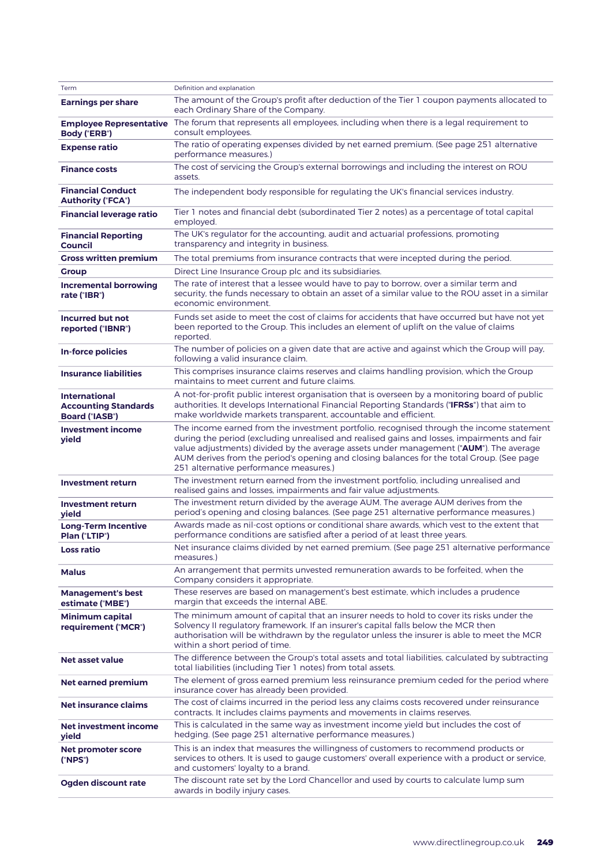| Term                                                                         | Definition and explanation                                                                                                                                                                                                                                                                                                                                                                                               |
|------------------------------------------------------------------------------|--------------------------------------------------------------------------------------------------------------------------------------------------------------------------------------------------------------------------------------------------------------------------------------------------------------------------------------------------------------------------------------------------------------------------|
| <b>Earnings per share</b>                                                    | The amount of the Group's profit after deduction of the Tier 1 coupon payments allocated to<br>each Ordinary Share of the Company.                                                                                                                                                                                                                                                                                       |
| <b>Employee Representative</b><br>Body ("ERB")                               | The forum that represents all employees, including when there is a legal requirement to<br>consult employees.                                                                                                                                                                                                                                                                                                            |
| <b>Expense ratio</b>                                                         | The ratio of operating expenses divided by net earned premium. (See page 251 alternative<br>performance measures.)                                                                                                                                                                                                                                                                                                       |
| <b>Finance costs</b>                                                         | The cost of servicing the Group's external borrowings and including the interest on ROU<br>assets.                                                                                                                                                                                                                                                                                                                       |
| <b>Financial Conduct</b><br><b>Authority ("FCA")</b>                         | The independent body responsible for regulating the UK's financial services industry.                                                                                                                                                                                                                                                                                                                                    |
| <b>Financial leverage ratio</b>                                              | Tier 1 notes and financial debt (subordinated Tier 2 notes) as a percentage of total capital<br>employed.                                                                                                                                                                                                                                                                                                                |
| <b>Financial Reporting</b><br><b>Council</b>                                 | The UK's regulator for the accounting, audit and actuarial professions, promoting<br>transparency and integrity in business.                                                                                                                                                                                                                                                                                             |
| <b>Gross written premium</b>                                                 | The total premiums from insurance contracts that were incepted during the period.                                                                                                                                                                                                                                                                                                                                        |
| <b>Group</b>                                                                 | Direct Line Insurance Group plc and its subsidiaries.                                                                                                                                                                                                                                                                                                                                                                    |
| <b>Incremental borrowing</b><br>rate ("IBR")                                 | The rate of interest that a lessee would have to pay to borrow, over a similar term and<br>security, the funds necessary to obtain an asset of a similar value to the ROU asset in a similar<br>economic environment.                                                                                                                                                                                                    |
| <b>Incurred but not</b><br>reported ("IBNR")                                 | Funds set aside to meet the cost of claims for accidents that have occurred but have not yet<br>been reported to the Group. This includes an element of uplift on the value of claims<br>reported.                                                                                                                                                                                                                       |
| In-force policies                                                            | The number of policies on a given date that are active and against which the Group will pay,<br>following a valid insurance claim.                                                                                                                                                                                                                                                                                       |
| <b>Insurance liabilities</b>                                                 | This comprises insurance claims reserves and claims handling provision, which the Group<br>maintains to meet current and future claims.                                                                                                                                                                                                                                                                                  |
| <b>International</b><br><b>Accounting Standards</b><br><b>Board ("IASB")</b> | A not-for-profit public interest organisation that is overseen by a monitoring board of public<br>authorities. It develops International Financial Reporting Standards ("IFRSs") that aim to<br>make worldwide markets transparent, accountable and efficient.                                                                                                                                                           |
| <b>Investment income</b><br>yield                                            | The income earned from the investment portfolio, recognised through the income statement<br>during the period (excluding unrealised and realised gains and losses, impairments and fair<br>value adjustments) divided by the average assets under management ("AUM"). The average<br>AUM derives from the period's opening and closing balances for the total Group. (See page<br>251 alternative performance measures.) |
| Investment return                                                            | The investment return earned from the investment portfolio, including unrealised and<br>realised gains and losses, impairments and fair value adjustments.                                                                                                                                                                                                                                                               |
| Investment return<br>yield                                                   | The investment return divided by the average AUM. The average AUM derives from the<br>period's opening and closing balances. (See page 251 alternative performance measures.)                                                                                                                                                                                                                                            |
| <b>Long-Term Incentive</b><br>Plan ("LTIP")                                  | Awards made as nil-cost options or conditional share awards, which vest to the extent that<br>performance conditions are satisfied after a period of at least three years.                                                                                                                                                                                                                                               |
| <b>Loss ratio</b>                                                            | Net insurance claims divided by net earned premium. (See page 251 alternative performance<br>measures.)                                                                                                                                                                                                                                                                                                                  |
| <b>Malus</b>                                                                 | An arrangement that permits unvested remuneration awards to be forfeited, when the<br>Company considers it appropriate.                                                                                                                                                                                                                                                                                                  |
| <b>Management's best</b><br>estimate ("MBE")                                 | These reserves are based on management's best estimate, which includes a prudence<br>margin that exceeds the internal ABE.                                                                                                                                                                                                                                                                                               |
| <b>Minimum capital</b><br>requirement ("MCR")                                | The minimum amount of capital that an insurer needs to hold to cover its risks under the<br>Solvency II regulatory framework. If an insurer's capital falls below the MCR then<br>authorisation will be withdrawn by the regulator unless the insurer is able to meet the MCR<br>within a short period of time.                                                                                                          |
| Net asset value                                                              | The difference between the Group's total assets and total liabilities, calculated by subtracting<br>total liabilities (including Tier 1 notes) from total assets.                                                                                                                                                                                                                                                        |
| Net earned premium                                                           | The element of gross earned premium less reinsurance premium ceded for the period where<br>insurance cover has already been provided.                                                                                                                                                                                                                                                                                    |
| Net insurance claims                                                         | The cost of claims incurred in the period less any claims costs recovered under reinsurance<br>contracts. It includes claims payments and movements in claims reserves.                                                                                                                                                                                                                                                  |
| Net investment income<br>yield                                               | This is calculated in the same way as investment income yield but includes the cost of<br>hedging. (See page 251 alternative performance measures.)                                                                                                                                                                                                                                                                      |
| Net promoter score<br>("NPS")                                                | This is an index that measures the willingness of customers to recommend products or<br>services to others. It is used to gauge customers' overall experience with a product or service,<br>and customers' loyalty to a brand.                                                                                                                                                                                           |
| Ogden discount rate                                                          | The discount rate set by the Lord Chancellor and used by courts to calculate lump sum<br>awards in bodily injury cases.                                                                                                                                                                                                                                                                                                  |